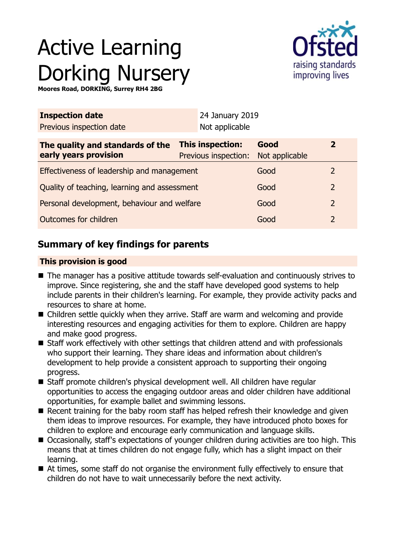# Active Learning Dorking Nursery



**Moores Road, DORKING, Surrey RH4 2BG**

| Not applicable                               |                        |                                         |  |
|----------------------------------------------|------------------------|-----------------------------------------|--|
| This inspection:<br>Previous inspection:     | Good<br>Not applicable | $\mathbf{2}$                            |  |
| Effectiveness of leadership and management   |                        | 2                                       |  |
| Quality of teaching, learning and assessment |                        | 2                                       |  |
| Personal development, behaviour and welfare  |                        | $\overline{2}$                          |  |
|                                              | Good                   | $\overline{2}$                          |  |
|                                              |                        | 24 January 2019<br>Good<br>Good<br>Good |  |

## **Summary of key findings for parents**

## **This provision is good**

- The manager has a positive attitude towards self-evaluation and continuously strives to improve. Since registering, she and the staff have developed good systems to help include parents in their children's learning. For example, they provide activity packs and resources to share at home.
- $\blacksquare$  Children settle quickly when they arrive. Staff are warm and welcoming and provide interesting resources and engaging activities for them to explore. Children are happy and make good progress.
- Staff work effectively with other settings that children attend and with professionals who support their learning. They share ideas and information about children's development to help provide a consistent approach to supporting their ongoing progress.
- Staff promote children's physical development well. All children have regular opportunities to access the engaging outdoor areas and older children have additional opportunities, for example ballet and swimming lessons.
- $\blacksquare$  Recent training for the baby room staff has helped refresh their knowledge and given them ideas to improve resources. For example, they have introduced photo boxes for children to explore and encourage early communication and language skills.
- Occasionally, staff's expectations of younger children during activities are too high. This means that at times children do not engage fully, which has a slight impact on their learning.
- $\blacksquare$  At times, some staff do not organise the environment fully effectively to ensure that children do not have to wait unnecessarily before the next activity.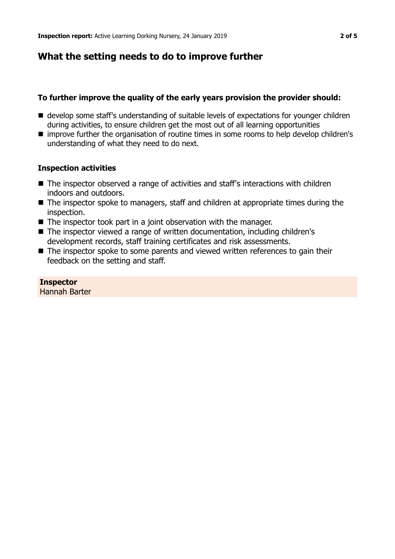## **What the setting needs to do to improve further**

## **To further improve the quality of the early years provision the provider should:**

- develop some staff's understanding of suitable levels of expectations for younger children during activities, to ensure children get the most out of all learning opportunities
- improve further the organisation of routine times in some rooms to help develop children's understanding of what they need to do next.

## **Inspection activities**

- The inspector observed a range of activities and staff's interactions with children indoors and outdoors.
- The inspector spoke to managers, staff and children at appropriate times during the inspection.
- $\blacksquare$  The inspector took part in a joint observation with the manager.
- The inspector viewed a range of written documentation, including children's development records, staff training certificates and risk assessments.
- $\blacksquare$  The inspector spoke to some parents and viewed written references to gain their feedback on the setting and staff.

## **Inspector**

Hannah Barter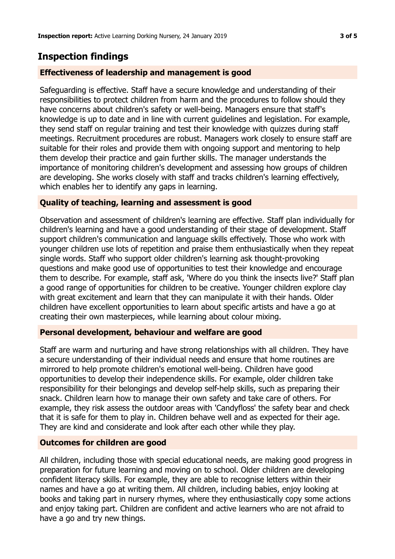## **Inspection findings**

### **Effectiveness of leadership and management is good**

Safeguarding is effective. Staff have a secure knowledge and understanding of their responsibilities to protect children from harm and the procedures to follow should they have concerns about children's safety or well-being. Managers ensure that staff's knowledge is up to date and in line with current guidelines and legislation. For example, they send staff on regular training and test their knowledge with quizzes during staff meetings. Recruitment procedures are robust. Managers work closely to ensure staff are suitable for their roles and provide them with ongoing support and mentoring to help them develop their practice and gain further skills. The manager understands the importance of monitoring children's development and assessing how groups of children are developing. She works closely with staff and tracks children's learning effectively, which enables her to identify any gaps in learning.

#### **Quality of teaching, learning and assessment is good**

Observation and assessment of children's learning are effective. Staff plan individually for children's learning and have a good understanding of their stage of development. Staff support children's communication and language skills effectively. Those who work with younger children use lots of repetition and praise them enthusiastically when they repeat single words. Staff who support older children's learning ask thought-provoking questions and make good use of opportunities to test their knowledge and encourage them to describe. For example, staff ask, 'Where do you think the insects live?' Staff plan a good range of opportunities for children to be creative. Younger children explore clay with great excitement and learn that they can manipulate it with their hands. Older children have excellent opportunities to learn about specific artists and have a go at creating their own masterpieces, while learning about colour mixing.

#### **Personal development, behaviour and welfare are good**

Staff are warm and nurturing and have strong relationships with all children. They have a secure understanding of their individual needs and ensure that home routines are mirrored to help promote children's emotional well-being. Children have good opportunities to develop their independence skills. For example, older children take responsibility for their belongings and develop self-help skills, such as preparing their snack. Children learn how to manage their own safety and take care of others. For example, they risk assess the outdoor areas with 'Candyfloss' the safety bear and check that it is safe for them to play in. Children behave well and as expected for their age. They are kind and considerate and look after each other while they play.

#### **Outcomes for children are good**

All children, including those with special educational needs, are making good progress in preparation for future learning and moving on to school. Older children are developing confident literacy skills. For example, they are able to recognise letters within their names and have a go at writing them. All children, including babies, enjoy looking at books and taking part in nursery rhymes, where they enthusiastically copy some actions and enjoy taking part. Children are confident and active learners who are not afraid to have a go and try new things.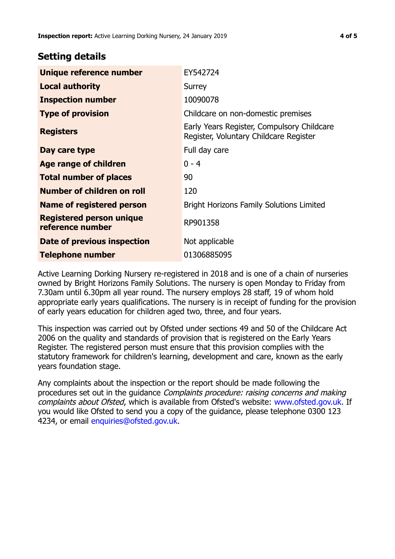## **Setting details**

| Unique reference number                             | EY542724                                                                             |
|-----------------------------------------------------|--------------------------------------------------------------------------------------|
| <b>Local authority</b>                              | Surrey                                                                               |
| <b>Inspection number</b>                            | 10090078                                                                             |
| <b>Type of provision</b>                            | Childcare on non-domestic premises                                                   |
| <b>Registers</b>                                    | Early Years Register, Compulsory Childcare<br>Register, Voluntary Childcare Register |
| Day care type                                       | Full day care                                                                        |
| <b>Age range of children</b>                        | $0 - 4$                                                                              |
| <b>Total number of places</b>                       | 90                                                                                   |
| Number of children on roll                          | 120                                                                                  |
| Name of registered person                           | <b>Bright Horizons Family Solutions Limited</b>                                      |
| <b>Registered person unique</b><br>reference number | RP901358                                                                             |
| Date of previous inspection                         | Not applicable                                                                       |
| <b>Telephone number</b>                             | 01306885095                                                                          |

Active Learning Dorking Nursery re-registered in 2018 and is one of a chain of nurseries owned by Bright Horizons Family Solutions. The nursery is open Monday to Friday from 7.30am until 6.30pm all year round. The nursery employs 28 staff, 19 of whom hold appropriate early years qualifications. The nursery is in receipt of funding for the provision of early years education for children aged two, three, and four years.

This inspection was carried out by Ofsted under sections 49 and 50 of the Childcare Act 2006 on the quality and standards of provision that is registered on the Early Years Register. The registered person must ensure that this provision complies with the statutory framework for children's learning, development and care, known as the early years foundation stage.

Any complaints about the inspection or the report should be made following the procedures set out in the guidance Complaints procedure: raising concerns and making complaints about Ofsted, which is available from Ofsted's website: www.ofsted.gov.uk. If you would like Ofsted to send you a copy of the guidance, please telephone 0300 123 4234, or email [enquiries@ofsted.gov.uk.](mailto:enquiries@ofsted.gov.uk)